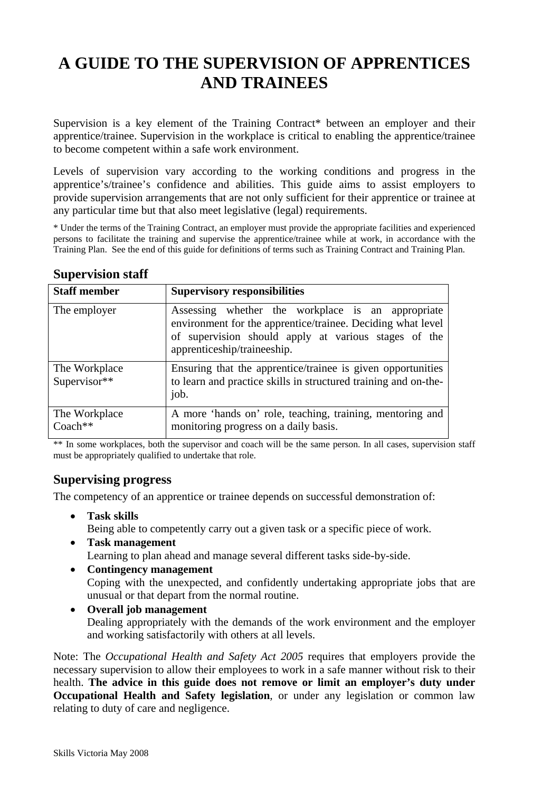# **A GUIDE TO THE SUPERVISION OF APPRENTICES AND TRAINEES**

Supervision is a key element of the Training Contract\* between an employer and their apprentice/trainee. Supervision in the workplace is critical to enabling the apprentice/trainee to become competent within a safe work environment.

Levels of supervision vary according to the working conditions and progress in the apprentice's/trainee's confidence and abilities. This guide aims to assist employers to provide supervision arrangements that are not only sufficient for their apprentice or trainee at any particular time but that also meet legislative (legal) requirements.

\* Under the terms of the Training Contract, an employer must provide the appropriate facilities and experienced persons to facilitate the training and supervise the apprentice/trainee while at work, in accordance with the Training Plan. See the end of this guide for definitions of terms such as Training Contract and Training Plan.

| <b>Staff member</b>           | <b>Supervisory responsibilities</b>                                                                                                                                                                     |
|-------------------------------|---------------------------------------------------------------------------------------------------------------------------------------------------------------------------------------------------------|
| The employer                  | Assessing whether the workplace is an appropriate<br>environment for the apprentice/trainee. Deciding what level<br>of supervision should apply at various stages of the<br>apprenticeship/traineeship. |
| The Workplace<br>Supervisor** | Ensuring that the apprentice/trainee is given opportunities<br>to learn and practice skills in structured training and on-the-<br>job.                                                                  |
| The Workplace<br>$Coach**$    | A more 'hands on' role, teaching, training, mentoring and<br>monitoring progress on a daily basis.                                                                                                      |

## **Supervision staff**

\*\* In some workplaces, both the supervisor and coach will be the same person. In all cases, supervision staff must be appropriately qualified to undertake that role.

## **Supervising progress**

The competency of an apprentice or trainee depends on successful demonstration of:

- **Task skills** Being able to competently carry out a given task or a specific piece of work.
- **Task management** Learning to plan ahead and manage several different tasks side-by-side.
- **Contingency management** Coping with the unexpected, and confidently undertaking appropriate jobs that are unusual or that depart from the normal routine.
- **Overall job management** Dealing appropriately with the demands of the work environment and the employer and working satisfactorily with others at all levels.

Note: The *Occupational Health and Safety Act 2005* requires that employers provide the necessary supervision to allow their employees to work in a safe manner without risk to their health. **The advice in this guide does not remove or limit an employer's duty under Occupational Health and Safety legislation**, or under any legislation or common law relating to duty of care and negligence.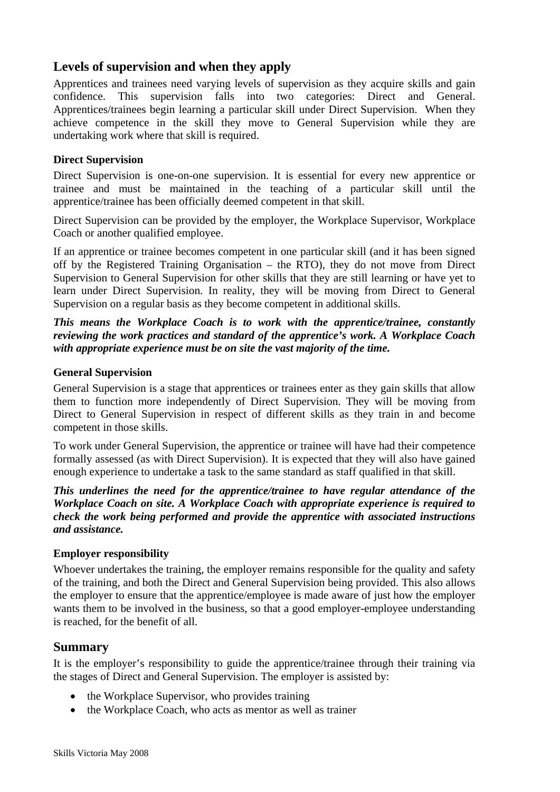## **Levels of supervision and when they apply**

Apprentices and trainees need varying levels of supervision as they acquire skills and gain confidence. This supervision falls into two categories: Direct and General. Apprentices/trainees begin learning a particular skill under Direct Supervision. When they achieve competence in the skill they move to General Supervision while they are undertaking work where that skill is required.

## **Direct Supervision**

Direct Supervision is one-on-one supervision. It is essential for every new apprentice or trainee and must be maintained in the teaching of a particular skill until the apprentice/trainee has been officially deemed competent in that skill.

Direct Supervision can be provided by the employer, the Workplace Supervisor, Workplace Coach or another qualified employee.

If an apprentice or trainee becomes competent in one particular skill (and it has been signed off by the Registered Training Organisation – the RTO), they do not move from Direct Supervision to General Supervision for other skills that they are still learning or have yet to learn under Direct Supervision. In reality, they will be moving from Direct to General Supervision on a regular basis as they become competent in additional skills.

*This means the Workplace Coach is to work with the apprentice/trainee, constantly reviewing the work practices and standard of the apprentice's work. A Workplace Coach with appropriate experience must be on site the vast majority of the time.*

#### **General Supervision**

General Supervision is a stage that apprentices or trainees enter as they gain skills that allow them to function more independently of Direct Supervision. They will be moving from Direct to General Supervision in respect of different skills as they train in and become competent in those skills.

To work under General Supervision, the apprentice or trainee will have had their competence formally assessed (as with Direct Supervision). It is expected that they will also have gained enough experience to undertake a task to the same standard as staff qualified in that skill.

*This underlines the need for the apprentice/trainee to have regular attendance of the Workplace Coach on site. A Workplace Coach with appropriate experience is required to check the work being performed and provide the apprentice with associated instructions and assistance.*

#### **Employer responsibility**

Whoever undertakes the training, the employer remains responsible for the quality and safety of the training, and both the Direct and General Supervision being provided. This also allows the employer to ensure that the apprentice/employee is made aware of just how the employer wants them to be involved in the business, so that a good employer-employee understanding is reached, for the benefit of all.

## **Summary**

It is the employer's responsibility to guide the apprentice/trainee through their training via the stages of Direct and General Supervision. The employer is assisted by:

- the Workplace Supervisor, who provides training
- the Workplace Coach, who acts as mentor as well as trainer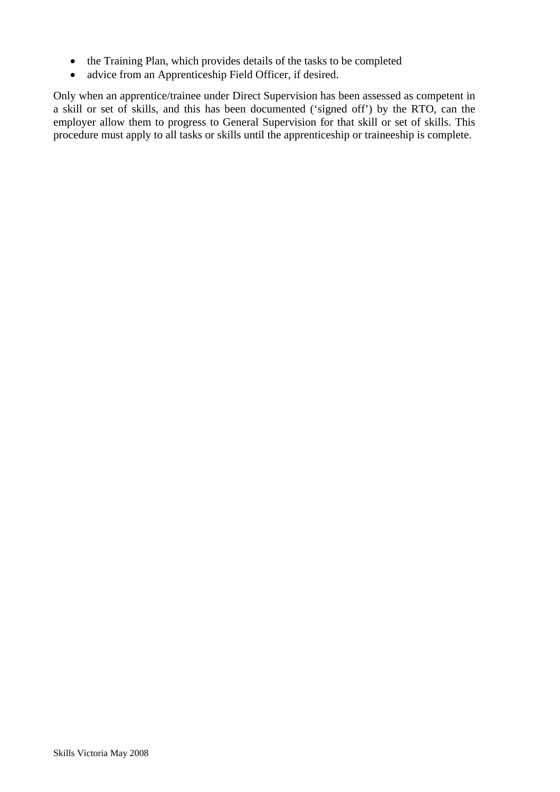- the Training Plan, which provides details of the tasks to be completed
- advice from an Apprenticeship Field Officer, if desired.

Only when an apprentice/trainee under Direct Supervision has been assessed as competent in a skill or set of skills, and this has been documented ('signed off') by the RTO, can the employer allow them to progress to General Supervision for that skill or set of skills. This procedure must apply to all tasks or skills until the apprenticeship or traineeship is complete.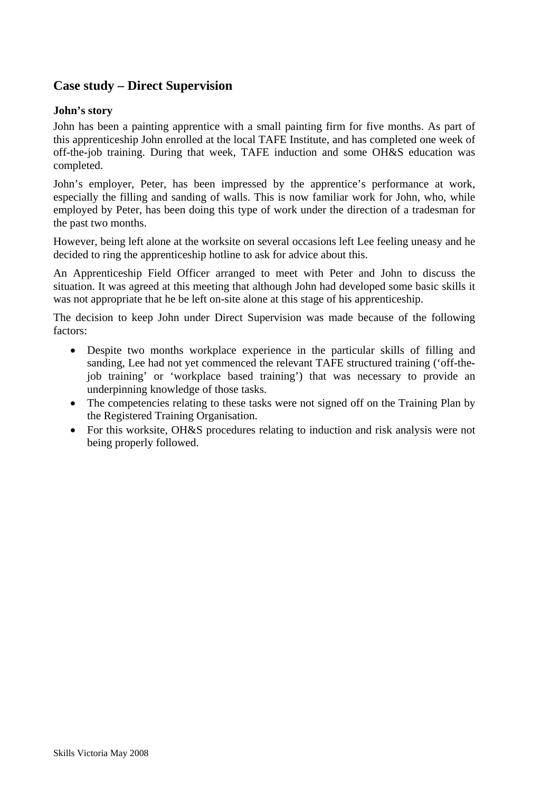# **Case study – Direct Supervision**

#### **John's story**

John has been a painting apprentice with a small painting firm for five months. As part of this apprenticeship John enrolled at the local TAFE Institute, and has completed one week of off-the-job training. During that week, TAFE induction and some OH&S education was completed.

John's employer, Peter, has been impressed by the apprentice's performance at work, especially the filling and sanding of walls. This is now familiar work for John, who, while employed by Peter, has been doing this type of work under the direction of a tradesman for the past two months.

However, being left alone at the worksite on several occasions left Lee feeling uneasy and he decided to ring the apprenticeship hotline to ask for advice about this.

An Apprenticeship Field Officer arranged to meet with Peter and John to discuss the situation. It was agreed at this meeting that although John had developed some basic skills it was not appropriate that he be left on-site alone at this stage of his apprenticeship.

The decision to keep John under Direct Supervision was made because of the following factors:

- Despite two months workplace experience in the particular skills of filling and sanding, Lee had not yet commenced the relevant TAFE structured training ('off-thejob training' or 'workplace based training') that was necessary to provide an underpinning knowledge of those tasks.
- The competencies relating to these tasks were not signed off on the Training Plan by the Registered Training Organisation.
- For this worksite, OH&S procedures relating to induction and risk analysis were not being properly followed.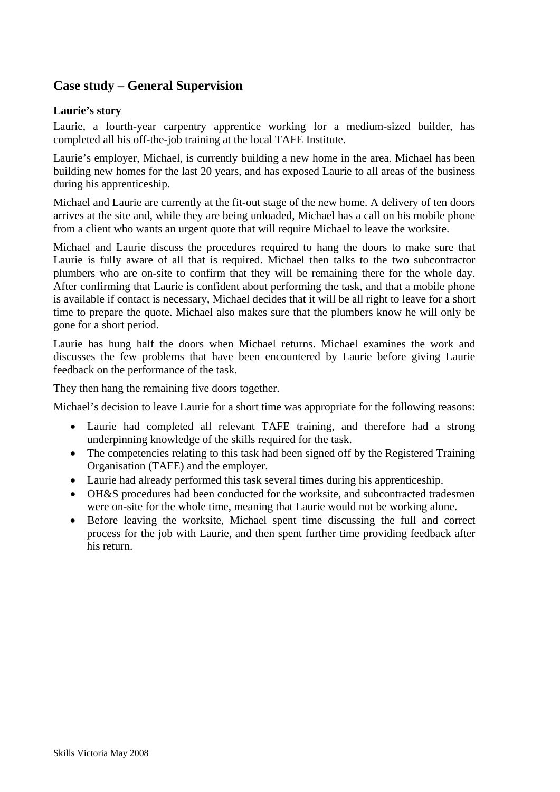# **Case study – General Supervision**

## **Laurie's story**

Laurie, a fourth-year carpentry apprentice working for a medium-sized builder, has completed all his off-the-job training at the local TAFE Institute.

Laurie's employer, Michael, is currently building a new home in the area. Michael has been building new homes for the last 20 years, and has exposed Laurie to all areas of the business during his apprenticeship.

Michael and Laurie are currently at the fit-out stage of the new home. A delivery of ten doors arrives at the site and, while they are being unloaded, Michael has a call on his mobile phone from a client who wants an urgent quote that will require Michael to leave the worksite.

Michael and Laurie discuss the procedures required to hang the doors to make sure that Laurie is fully aware of all that is required. Michael then talks to the two subcontractor plumbers who are on-site to confirm that they will be remaining there for the whole day. After confirming that Laurie is confident about performing the task, and that a mobile phone is available if contact is necessary, Michael decides that it will be all right to leave for a short time to prepare the quote. Michael also makes sure that the plumbers know he will only be gone for a short period.

Laurie has hung half the doors when Michael returns. Michael examines the work and discusses the few problems that have been encountered by Laurie before giving Laurie feedback on the performance of the task.

They then hang the remaining five doors together.

Michael's decision to leave Laurie for a short time was appropriate for the following reasons:

- Laurie had completed all relevant TAFE training, and therefore had a strong underpinning knowledge of the skills required for the task.
- The competencies relating to this task had been signed off by the Registered Training Organisation (TAFE) and the employer.
- Laurie had already performed this task several times during his apprenticeship.
- OH&S procedures had been conducted for the worksite, and subcontracted tradesmen were on-site for the whole time, meaning that Laurie would not be working alone.
- Before leaving the worksite, Michael spent time discussing the full and correct process for the job with Laurie, and then spent further time providing feedback after his return.